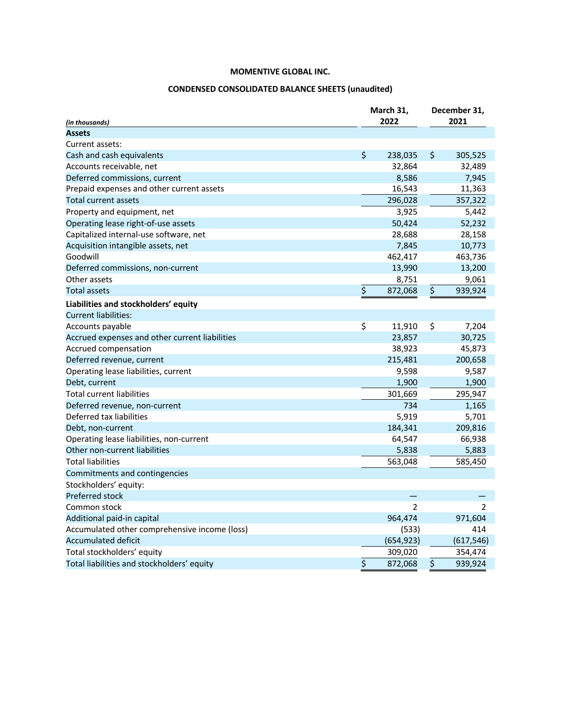# **CONDENSED CONSOLIDATED BALANCE SHEETS (unaudited)**

| (in thousands)                                 | March 31,<br>2022 |                | December 31,<br>2021 |                |
|------------------------------------------------|-------------------|----------------|----------------------|----------------|
| <b>Assets</b>                                  |                   |                |                      |                |
| Current assets:                                |                   |                |                      |                |
| Cash and cash equivalents                      | \$                | 238,035        | \$                   | 305,525        |
| Accounts receivable, net                       |                   | 32,864         |                      | 32,489         |
| Deferred commissions, current                  |                   | 8,586          |                      | 7,945          |
| Prepaid expenses and other current assets      |                   | 16,543         |                      | 11,363         |
| Total current assets                           |                   | 296,028        |                      | 357,322        |
| Property and equipment, net                    |                   | 3,925          |                      | 5,442          |
| Operating lease right-of-use assets            |                   | 50,424         |                      | 52,232         |
| Capitalized internal-use software, net         |                   | 28,688         |                      | 28,158         |
| Acquisition intangible assets, net             |                   | 7,845          |                      | 10,773         |
| Goodwill                                       |                   | 462,417        |                      | 463,736        |
| Deferred commissions, non-current              |                   | 13,990         |                      | 13,200         |
| Other assets                                   |                   | 8,751          |                      | 9,061          |
| <b>Total assets</b>                            | \$                | 872,068        | \$                   | 939,924        |
| Liabilities and stockholders' equity           |                   |                |                      |                |
| <b>Current liabilities:</b>                    |                   |                |                      |                |
| Accounts payable                               | \$                | 11,910         | \$                   | 7,204          |
| Accrued expenses and other current liabilities |                   | 23,857         |                      | 30,725         |
| Accrued compensation                           |                   | 38,923         |                      | 45,873         |
| Deferred revenue, current                      |                   | 215,481        |                      | 200,658        |
| Operating lease liabilities, current           |                   | 9,598          |                      | 9,587          |
| Debt, current                                  |                   | 1,900          |                      | 1,900          |
| <b>Total current liabilities</b>               |                   | 301,669        |                      | 295,947        |
| Deferred revenue, non-current                  |                   | 734            |                      | 1,165          |
| Deferred tax liabilities                       |                   | 5,919          |                      | 5,701          |
| Debt, non-current                              |                   | 184,341        |                      | 209,816        |
| Operating lease liabilities, non-current       |                   | 64,547         |                      | 66,938         |
| Other non-current liabilities                  |                   | 5,838          |                      | 5,883          |
| <b>Total liabilities</b>                       |                   | 563,048        |                      | 585,450        |
| Commitments and contingencies                  |                   |                |                      |                |
| Stockholders' equity:                          |                   |                |                      |                |
| Preferred stock                                |                   |                |                      |                |
| Common stock                                   |                   | $\overline{2}$ |                      | $\overline{2}$ |
| Additional paid-in capital                     |                   | 964,474        |                      | 971,604        |
| Accumulated other comprehensive income (loss)  |                   | (533)          |                      | 414            |
| Accumulated deficit                            |                   | (654, 923)     |                      | (617, 546)     |
| Total stockholders' equity                     |                   | 309,020        |                      | 354,474        |
| Total liabilities and stockholders' equity     | \$                | 872,068        | \$                   | 939,924        |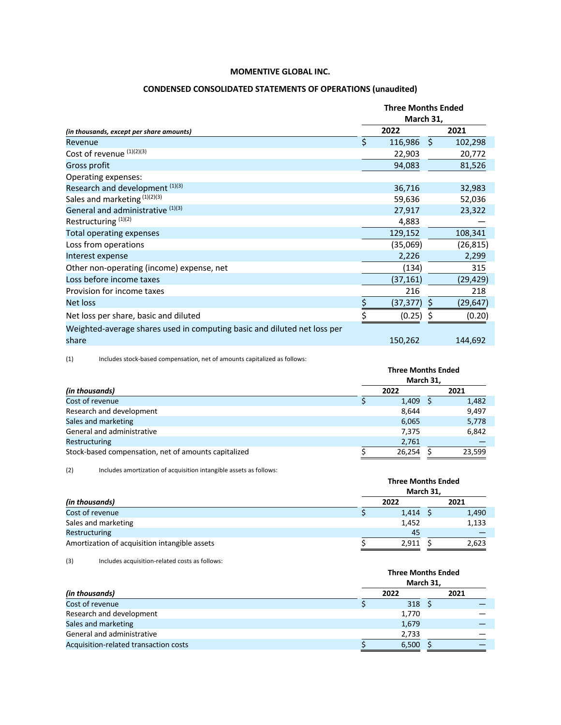### **CONDENSED CONSOLIDATED STATEMENTS OF OPERATIONS (unaudited)**

|                                                                                   | <b>Three Months Ended</b><br>March 31, |           |      |           |  |  |
|-----------------------------------------------------------------------------------|----------------------------------------|-----------|------|-----------|--|--|
| (in thousands, except per share amounts)                                          |                                        | 2022      |      | 2021      |  |  |
| Revenue                                                                           | \$                                     | 116,986   | - \$ | 102,298   |  |  |
| Cost of revenue (1)(2)(3)                                                         |                                        | 22,903    |      | 20,772    |  |  |
| Gross profit                                                                      |                                        | 94,083    |      | 81,526    |  |  |
| Operating expenses:                                                               |                                        |           |      |           |  |  |
| Research and development (1)(3)                                                   |                                        | 36,716    |      | 32,983    |  |  |
| Sales and marketing (1)(2)(3)                                                     |                                        | 59,636    |      | 52,036    |  |  |
| General and administrative (1)(3)                                                 |                                        | 27,917    |      | 23,322    |  |  |
| Restructuring <sup>(1)(2)</sup>                                                   |                                        | 4,883     |      |           |  |  |
| <b>Total operating expenses</b>                                                   |                                        | 129,152   |      | 108,341   |  |  |
| Loss from operations                                                              |                                        | (35,069)  |      | (26, 815) |  |  |
| Interest expense                                                                  |                                        | 2,226     |      | 2,299     |  |  |
| Other non-operating (income) expense, net                                         |                                        | (134)     |      | 315       |  |  |
| Loss before income taxes                                                          |                                        | (37, 161) |      | (29, 429) |  |  |
| Provision for income taxes                                                        |                                        | 216       |      | 218       |  |  |
| Net loss                                                                          | \$                                     | (37, 377) |      | (29, 647) |  |  |
| Net loss per share, basic and diluted                                             |                                        | (0.25)    |      | (0.20)    |  |  |
| Weighted-average shares used in computing basic and diluted net loss per<br>share |                                        | 150,262   |      | 144,692   |  |  |

(1) Includes stock-based compensation, net of amounts capitalized as follows:

|                                                      | <b>Three Months Ended</b><br>March 31, |  |        |  |  |  |
|------------------------------------------------------|----------------------------------------|--|--------|--|--|--|
| (in thousands)                                       | 2022                                   |  | 2021   |  |  |  |
| Cost of revenue                                      | 1,409                                  |  | 1,482  |  |  |  |
| Research and development                             | 8,644                                  |  | 9,497  |  |  |  |
| Sales and marketing                                  | 6,065                                  |  | 5,778  |  |  |  |
| General and administrative                           | 7,375                                  |  | 6,842  |  |  |  |
| <b>Restructuring</b>                                 | 2,761                                  |  |        |  |  |  |
| Stock-based compensation, net of amounts capitalized | 26.254                                 |  | 23.599 |  |  |  |

(2) Includes amortization of acquisition intangible assets as follows:

|                                               |  | <b>Three Months Ended</b><br>March 31, |       |
|-----------------------------------------------|--|----------------------------------------|-------|
| (in thousands)                                |  | 2022                                   | 2021  |
| Cost of revenue                               |  | $1,414$ \$                             | 1,490 |
| Sales and marketing                           |  | 1,452                                  | 1,133 |
| <b>Restructuring</b>                          |  | 45                                     |       |
| Amortization of acquisition intangible assets |  | 2,911                                  | 2,623 |

(3) Includes acquisition-related costs as follows:

|                                       | <b>Three Months Ended</b><br>March 31, |      |
|---------------------------------------|----------------------------------------|------|
| (in thousands)                        | 2022                                   | 2021 |
| Cost of revenue                       | $318 \quad 5$                          |      |
| Research and development              | 1,770                                  |      |
| Sales and marketing                   | 1,679                                  |      |
| General and administrative            | 2,733                                  |      |
| Acquisition-related transaction costs | 6,500                                  |      |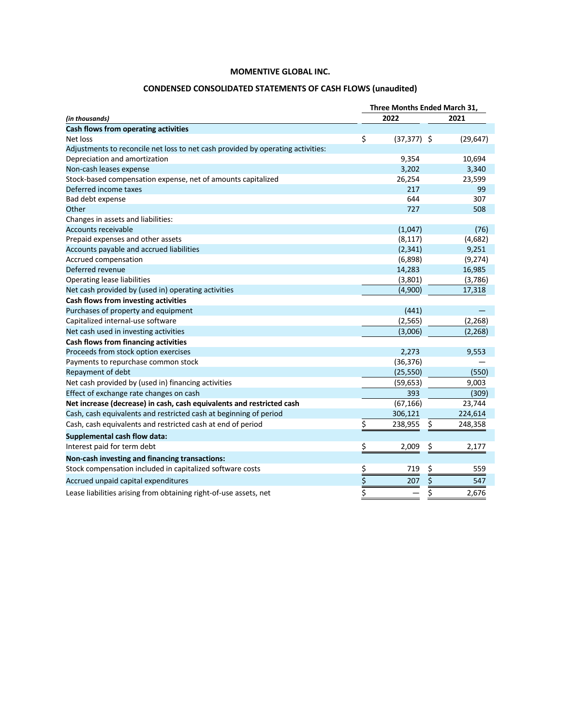# **CONDENSED CONSOLIDATED STATEMENTS OF CASH FLOWS (unaudited)**

|                                                                                 | Three Months Ended March 31, |               |      |           |
|---------------------------------------------------------------------------------|------------------------------|---------------|------|-----------|
| (in thousands)                                                                  |                              | 2022          | 2021 |           |
| Cash flows from operating activities                                            |                              |               |      |           |
| Net loss                                                                        | \$                           | $(37,377)$ \$ |      | (29, 647) |
| Adjustments to reconcile net loss to net cash provided by operating activities: |                              |               |      |           |
| Depreciation and amortization                                                   |                              | 9,354         |      | 10,694    |
| Non-cash leases expense                                                         |                              | 3,202         |      | 3,340     |
| Stock-based compensation expense, net of amounts capitalized                    |                              | 26,254        |      | 23,599    |
| Deferred income taxes                                                           |                              | 217           |      | 99        |
| Bad debt expense                                                                |                              | 644           |      | 307       |
| Other                                                                           |                              | 727           |      | 508       |
| Changes in assets and liabilities:                                              |                              |               |      |           |
| <b>Accounts receivable</b>                                                      |                              | (1,047)       |      | (76)      |
| Prepaid expenses and other assets                                               |                              | (8, 117)      |      | (4,682)   |
| Accounts payable and accrued liabilities                                        |                              | (2, 341)      |      | 9,251     |
| Accrued compensation                                                            |                              | (6,898)       |      | (9, 274)  |
| Deferred revenue                                                                |                              | 14,283        |      | 16,985    |
| <b>Operating lease liabilities</b>                                              |                              | (3,801)       |      | (3,786)   |
| Net cash provided by (used in) operating activities                             |                              | (4,900)       |      | 17,318    |
| Cash flows from investing activities                                            |                              |               |      |           |
| Purchases of property and equipment                                             |                              | (441)         |      |           |
| Capitalized internal-use software                                               |                              | (2, 565)      |      | (2, 268)  |
| Net cash used in investing activities                                           |                              | (3,006)       |      | (2, 268)  |
| Cash flows from financing activities                                            |                              |               |      |           |
| Proceeds from stock option exercises                                            |                              | 2,273         |      | 9,553     |
| Payments to repurchase common stock                                             |                              | (36, 376)     |      |           |
| Repayment of debt                                                               |                              | (25, 550)     |      | (550)     |
| Net cash provided by (used in) financing activities                             |                              | (59, 653)     |      | 9,003     |
| Effect of exchange rate changes on cash                                         |                              | 393           |      | (309)     |
| Net increase (decrease) in cash, cash equivalents and restricted cash           |                              | (67, 166)     |      | 23,744    |
| Cash, cash equivalents and restricted cash at beginning of period               |                              | 306,121       |      | 224,614   |
| Cash, cash equivalents and restricted cash at end of period                     | \$                           | 238,955       | \$   | 248,358   |
| Supplemental cash flow data:                                                    |                              |               |      |           |
| Interest paid for term debt                                                     | \$                           | 2,009         | \$   | 2,177     |
| Non-cash investing and financing transactions:                                  |                              |               |      |           |
| Stock compensation included in capitalized software costs                       |                              | 719           | \$   | 559       |
| Accrued unpaid capital expenditures                                             | $rac{5}{5}$                  | 207           |      | 547       |
|                                                                                 |                              |               | \$   |           |
| Lease liabilities arising from obtaining right-of-use assets, net               | $\overline{\xi}$             |               | \$   | 2,676     |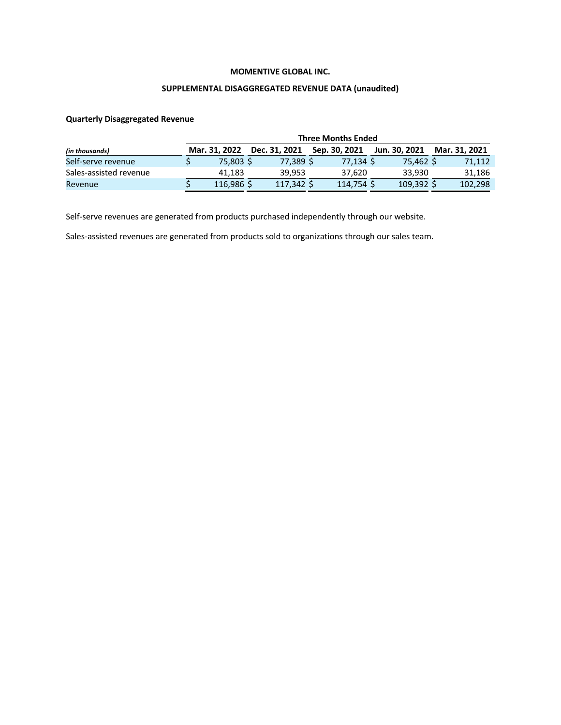# **SUPPLEMENTAL DISAGGREGATED REVENUE DATA (unaudited)**

#### **Quarterly Disaggregated Revenue**

|                        | <b>Three Months Ended</b> |               |               |               |               |
|------------------------|---------------------------|---------------|---------------|---------------|---------------|
| (in thousands)         | Mar. 31. 2022             | Dec. 31, 2021 | Sep. 30, 2021 | Jun. 30, 2021 | Mar. 31, 2021 |
| Self-serve revenue     | 75,803 \$                 | 77.389 S      | 77.134 S      | 75.462 \$     | 71.112        |
| Sales-assisted revenue | 41.183                    | 39.953        | 37.620        | 33.930        | 31.186        |
| Revenue                | 116.986 S                 | 117,342 \$    | 114.754 S     | $109,392$ \$  | 102,298       |

Self-serve revenues are generated from products purchased independently through our website.

Sales-assisted revenues are generated from products sold to organizations through our sales team.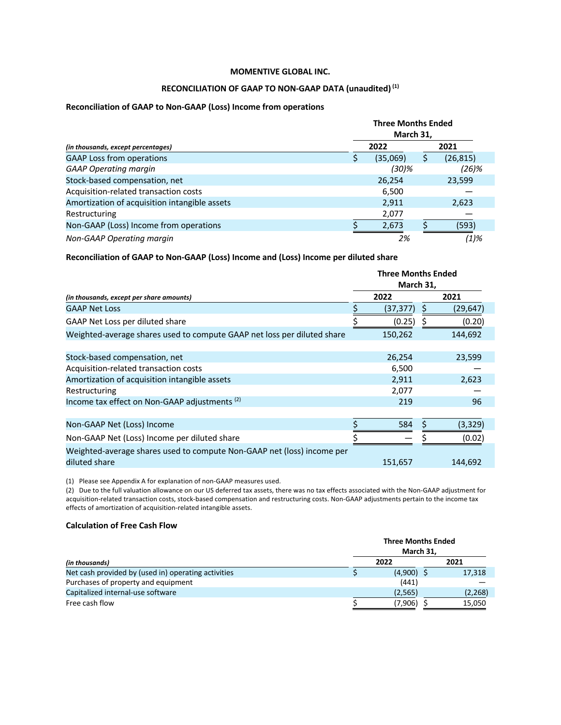#### **RECONCILIATION OF GAAP TO NON-GAAP DATA (unaudited)(1)**

#### **Reconciliation of GAAP to Non-GAAP (Loss) Income from operations**

|                                               | <b>Three Months Ended</b><br>March 31, |          |  |           |  |  |
|-----------------------------------------------|----------------------------------------|----------|--|-----------|--|--|
| (in thousands, except percentages)            |                                        | 2022     |  | 2021      |  |  |
| <b>GAAP Loss from operations</b>              |                                        | (35,069) |  | (26, 815) |  |  |
| <b>GAAP Operating margin</b>                  |                                        | (30)%    |  | (26)%     |  |  |
| Stock-based compensation, net                 |                                        | 26,254   |  | 23,599    |  |  |
| Acquisition-related transaction costs         |                                        | 6,500    |  |           |  |  |
| Amortization of acquisition intangible assets |                                        | 2,911    |  | 2,623     |  |  |
| Restructuring                                 |                                        | 2,077    |  |           |  |  |
| Non-GAAP (Loss) Income from operations        |                                        | 2,673    |  | (593)     |  |  |
| Non-GAAP Operating margin                     |                                        | 2%       |  | (1)%      |  |  |

**Reconciliation of GAAP to Non-GAAP (Loss) Income and (Loss) Income per diluted share**

|                                                                         | <b>Three Months Ended</b> |           |  |           |
|-------------------------------------------------------------------------|---------------------------|-----------|--|-----------|
|                                                                         | March 31,                 |           |  |           |
| (in thousands, except per share amounts)                                |                           | 2022      |  | 2021      |
| <b>GAAP Net Loss</b>                                                    |                           | (37, 377) |  | (29, 647) |
| GAAP Net Loss per diluted share                                         |                           | (0.25)    |  | (0.20)    |
| Weighted-average shares used to compute GAAP net loss per diluted share |                           | 150,262   |  | 144,692   |
|                                                                         |                           |           |  |           |
| Stock-based compensation, net                                           |                           | 26,254    |  | 23,599    |
| Acquisition-related transaction costs                                   |                           | 6,500     |  |           |
| Amortization of acquisition intangible assets                           |                           | 2,911     |  | 2,623     |
| Restructuring                                                           |                           | 2,077     |  |           |
| Income tax effect on Non-GAAP adjustments <sup>(2)</sup>                |                           | 219       |  | 96        |
|                                                                         |                           |           |  |           |
| Non-GAAP Net (Loss) Income                                              |                           | 584       |  | (3, 329)  |
| Non-GAAP Net (Loss) Income per diluted share                            |                           |           |  | (0.02)    |
| Weighted-average shares used to compute Non-GAAP net (loss) income per  |                           |           |  |           |
| diluted share                                                           |                           | 151,657   |  | 144,692   |
|                                                                         |                           |           |  |           |

(1) Please see Appendix A for explanation of non-GAAP measures used.

(2) Due to the full valuation allowance on our US deferred tax assets, there was no tax effects associated with the Non-GAAP adjustment for acquisition-related transaction costs, stock-based compensation and restructuring costs. Non-GAAP adjustments pertain to the income tax effects of amortization of acquisition-related intangible assets.

#### **Calculation of Free Cash Flow**

|                                                     | <b>Three Months Ended</b><br>March 31, |         |
|-----------------------------------------------------|----------------------------------------|---------|
| (in thousands)                                      | 2022                                   | 2021    |
| Net cash provided by (used in) operating activities | $(4,900)$ \$                           | 17,318  |
| Purchases of property and equipment                 | (441)                                  |         |
| Capitalized internal-use software                   | (2,565)                                | (2,268) |
| Free cash flow                                      | (7,906)                                | 15,050  |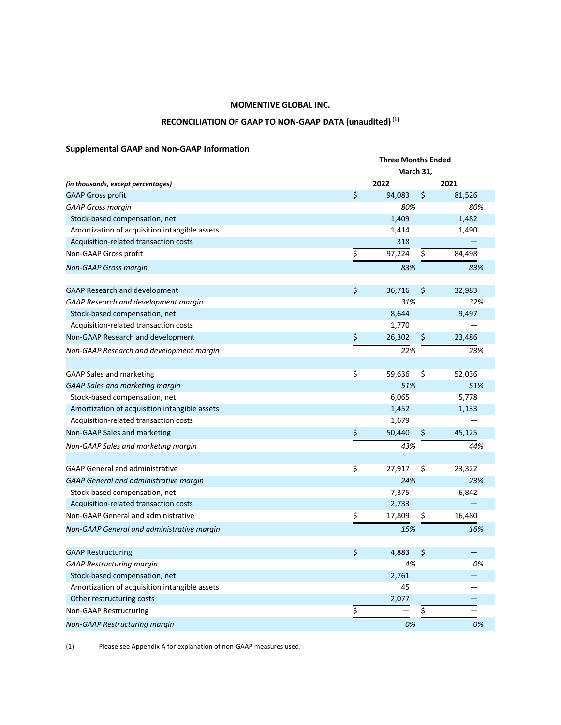# RECONCILIATION OF GAAP TO NON-GAAP DATA (unaudited)<sup>(1)</sup>

# **Supplemental GAAP and Non-GAAP Information**

|                                               | <b>Three Months Ended</b> |           |    |        |  |  |
|-----------------------------------------------|---------------------------|-----------|----|--------|--|--|
|                                               |                           | March 31, |    |        |  |  |
| (in thousands, except percentages)            |                           | 2022      |    | 2021   |  |  |
| <b>GAAP Gross profit</b>                      | \$                        | 94,083    | \$ | 81,526 |  |  |
| <b>GAAP Gross margin</b>                      |                           | 80%       |    | 80%    |  |  |
| Stock-based compensation, net                 |                           | 1,409     |    | 1,482  |  |  |
| Amortization of acquisition intangible assets |                           | 1,414     |    | 1,490  |  |  |
| Acquisition-related transaction costs         |                           | 318       |    |        |  |  |
| Non-GAAP Gross profit                         | \$                        | 97,224    | \$ | 84,498 |  |  |
| <b>Non-GAAP Gross margin</b>                  |                           | 83%       |    | 83%    |  |  |
| <b>GAAP Research and development</b>          | \$                        | 36,716    | \$ | 32,983 |  |  |
| GAAP Research and development margin          |                           | 31%       |    | 32%    |  |  |
| Stock-based compensation, net                 |                           | 8,644     |    | 9,497  |  |  |
| Acquisition-related transaction costs         |                           | 1,770     |    |        |  |  |
| Non-GAAP Research and development             | \$                        | 26,302    | \$ | 23,486 |  |  |
| Non-GAAP Research and development margin      |                           | 22%       |    | 23%    |  |  |
| <b>GAAP Sales and marketing</b>               | \$                        | 59,636    | \$ | 52,036 |  |  |
| <b>GAAP Sales and marketing margin</b>        |                           | 51%       |    | 51%    |  |  |
| Stock-based compensation, net                 |                           | 6,065     |    | 5,778  |  |  |
| Amortization of acquisition intangible assets |                           | 1,452     |    | 1,133  |  |  |
| Acquisition-related transaction costs         |                           | 1,679     |    |        |  |  |
| Non-GAAP Sales and marketing                  | \$                        | 50,440    | \$ | 45,125 |  |  |
| Non-GAAP Sales and marketing margin           |                           | 43%       |    | 44%    |  |  |
| <b>GAAP General and administrative</b>        | \$                        | 27,917    | \$ | 23,322 |  |  |
| <b>GAAP General and administrative margin</b> |                           | 24%       |    | 23%    |  |  |
| Stock-based compensation, net                 |                           | 7,375     |    | 6,842  |  |  |
| Acquisition-related transaction costs         |                           | 2,733     |    |        |  |  |
| Non-GAAP General and administrative           | \$                        | 17,809    | \$ | 16,480 |  |  |
| Non-GAAP General and administrative margin    |                           | 15%       |    | 16%    |  |  |
|                                               |                           |           |    |        |  |  |
| <b>GAAP Restructuring</b>                     | \$                        | 4,883     | \$ |        |  |  |
| <b>GAAP Restructuring margin</b>              |                           | 4%        |    | 0%     |  |  |
| Stock-based compensation, net                 |                           | 2,761     |    |        |  |  |
| Amortization of acquisition intangible assets |                           | 45        |    |        |  |  |
| Other restructuring costs                     |                           | 2,077     |    |        |  |  |
| <b>Non-GAAP Restructuring</b>                 | \$                        |           | \$ |        |  |  |
| Non-GAAP Restructuring margin                 |                           | 0%        |    | 0%     |  |  |

(1) Please see Appendix A for explanation of non-GAAP measures used.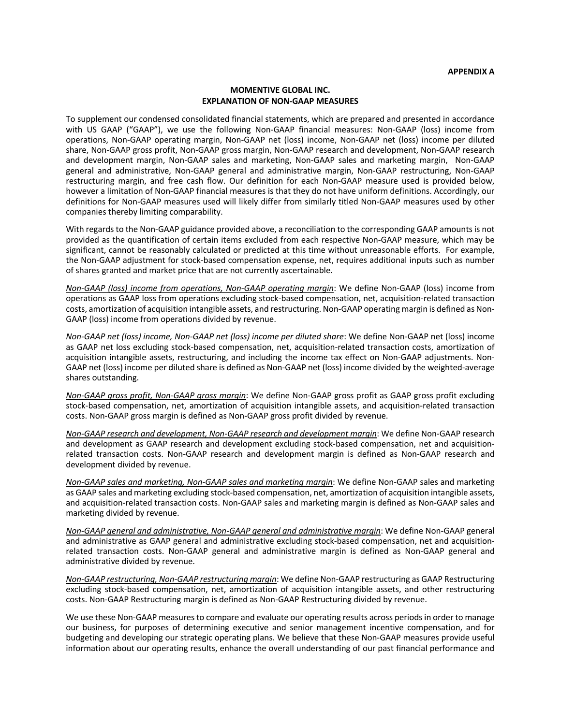#### **MOMENTIVE GLOBAL INC. EXPLANATION OF NON-GAAP MEASURES**

To supplement our condensed consolidated financial statements, which are prepared and presented in accordance with US GAAP ("GAAP"), we use the following Non-GAAP financial measures: Non-GAAP (loss) income from operations, Non-GAAP operating margin, Non-GAAP net (loss) income, Non-GAAP net (loss) income per diluted share, Non-GAAP gross profit, Non-GAAP gross margin, Non-GAAP research and development, Non-GAAP research and development margin, Non-GAAP sales and marketing, Non-GAAP sales and marketing margin, Non-GAAP general and administrative, Non-GAAP general and administrative margin, Non-GAAP restructuring, Non-GAAP restructuring margin, and free cash flow. Our definition for each Non-GAAP measure used is provided below, however a limitation of Non-GAAP financial measures is that they do not have uniform definitions. Accordingly, our definitions for Non-GAAP measures used will likely differ from similarly titled Non-GAAP measures used by other companies thereby limiting comparability.

With regards to the Non-GAAP guidance provided above, a reconciliation to the corresponding GAAP amounts is not provided as the quantification of certain items excluded from each respective Non-GAAP measure, which may be significant, cannot be reasonably calculated or predicted at this time without unreasonable efforts. For example, the Non-GAAP adjustment for stock-based compensation expense, net, requires additional inputs such as number of shares granted and market price that are not currently ascertainable.

*Non-GAAP (loss) income from operations, Non-GAAP operating margin*: We define Non-GAAP (loss) income from operations as GAAP loss from operations excluding stock-based compensation, net, acquisition-related transaction costs, amortization of acquisition intangible assets, and restructuring. Non-GAAP operating margin is defined as Non-GAAP (loss) income from operations divided by revenue.

*Non-GAAP net (loss) income, Non-GAAP net (loss) income per diluted share*: We define Non-GAAP net (loss) income as GAAP net loss excluding stock-based compensation, net, acquisition-related transaction costs, amortization of acquisition intangible assets, restructuring, and including the income tax effect on Non-GAAP adjustments. Non-GAAP net (loss) income per diluted share is defined as Non-GAAP net (loss) income divided by the weighted-average shares outstanding.

*Non-GAAP gross profit, Non-GAAP gross margin*: We define Non-GAAP gross profit as GAAP gross profit excluding stock-based compensation, net, amortization of acquisition intangible assets, and acquisition-related transaction costs. Non-GAAP gross margin is defined as Non-GAAP gross profit divided by revenue.

*Non-GAAP research and development, Non-GAAP research and development margin*: We define Non-GAAP research and development as GAAP research and development excluding stock-based compensation, net and acquisitionrelated transaction costs. Non-GAAP research and development margin is defined as Non-GAAP research and development divided by revenue.

*Non-GAAP sales and marketing, Non-GAAP sales and marketing margin*: We define Non-GAAP sales and marketing as GAAP sales and marketing excluding stock-based compensation, net, amortization of acquisition intangible assets, and acquisition-related transaction costs. Non-GAAP sales and marketing margin is defined as Non-GAAP sales and marketing divided by revenue.

*Non-GAAP general and administrative, Non-GAAP general and administrative margin*: We define Non-GAAP general and administrative as GAAP general and administrative excluding stock-based compensation, net and acquisitionrelated transaction costs. Non-GAAP general and administrative margin is defined as Non-GAAP general and administrative divided by revenue.

*Non-GAAP restructuring, Non-GAAP restructuring margin*: We define Non-GAAP restructuring as GAAP Restructuring excluding stock-based compensation, net, amortization of acquisition intangible assets, and other restructuring costs. Non-GAAP Restructuring margin is defined as Non-GAAP Restructuring divided by revenue.

We use these Non-GAAP measures to compare and evaluate our operating results across periods in order to manage our business, for purposes of determining executive and senior management incentive compensation, and for budgeting and developing our strategic operating plans. We believe that these Non-GAAP measures provide useful information about our operating results, enhance the overall understanding of our past financial performance and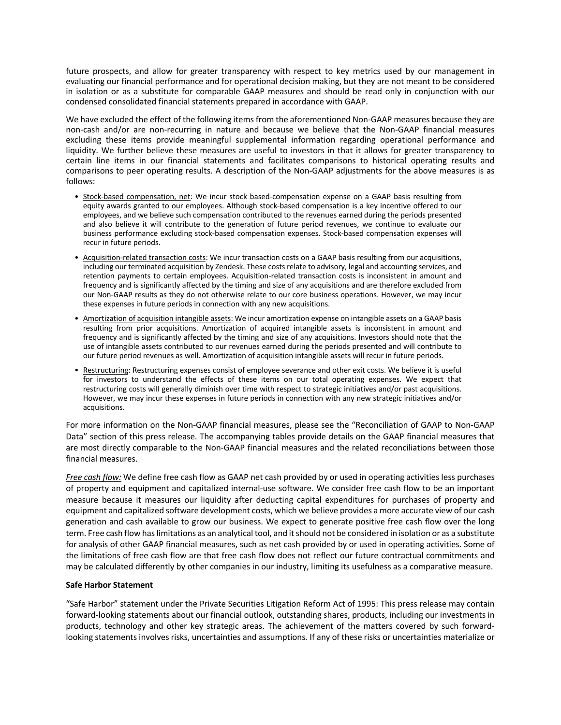future prospects, and allow for greater transparency with respect to key metrics used by our management in evaluating our financial performance and for operational decision making, but they are not meant to be considered in isolation or as a substitute for comparable GAAP measures and should be read only in conjunction with our condensed consolidated financial statements prepared in accordance with GAAP.

We have excluded the effect of the following items from the aforementioned Non-GAAP measures because they are non-cash and/or are non-recurring in nature and because we believe that the Non-GAAP financial measures excluding these items provide meaningful supplemental information regarding operational performance and liquidity. We further believe these measures are useful to investors in that it allows for greater transparency to certain line items in our financial statements and facilitates comparisons to historical operating results and comparisons to peer operating results. A description of the Non-GAAP adjustments for the above measures is as follows:

- Stock-based compensation, net: We incur stock based-compensation expense on a GAAP basis resulting from equity awards granted to our employees. Although stock-based compensation is a key incentive offered to our employees, and we believe such compensation contributed to the revenues earned during the periods presented and also believe it will contribute to the generation of future period revenues, we continue to evaluate our business performance excluding stock-based compensation expenses. Stock-based compensation expenses will recur in future periods.
- Acquisition-related transaction costs: We incur transaction costs on a GAAP basis resulting from our acquisitions, including our terminated acquisition by Zendesk. These costs relate to advisory, legal and accounting services, and retention payments to certain employees. Acquisition-related transaction costs is inconsistent in amount and frequency and is significantly affected by the timing and size of any acquisitions and are therefore excluded from our Non-GAAP results as they do not otherwise relate to our core business operations. However, we may incur these expenses in future periods in connection with any new acquisitions.
- Amortization of acquisition intangible assets: We incur amortization expense on intangible assets on a GAAP basis resulting from prior acquisitions. Amortization of acquired intangible assets is inconsistent in amount and frequency and is significantly affected by the timing and size of any acquisitions. Investors should note that the use of intangible assets contributed to our revenues earned during the periods presented and will contribute to our future period revenues as well. Amortization of acquisition intangible assets will recur in future periods.
- Restructuring: Restructuring expenses consist of employee severance and other exit costs. We believe it is useful for investors to understand the effects of these items on our total operating expenses. We expect that restructuring costs will generally diminish over time with respect to strategic initiatives and/or past acquisitions. However, we may incur these expenses in future periods in connection with any new strategic initiatives and/or acquisitions.

For more information on the Non-GAAP financial measures, please see the "Reconciliation of GAAP to Non-GAAP Data" section of this press release. The accompanying tables provide details on the GAAP financial measures that are most directly comparable to the Non-GAAP financial measures and the related reconciliations between those financial measures.

*Free cash flow:* We define free cash flow as GAAP net cash provided by or used in operating activities less purchases of property and equipment and capitalized internal-use software. We consider free cash flow to be an important measure because it measures our liquidity after deducting capital expenditures for purchases of property and equipment and capitalized software development costs, which we believe provides a more accurate view of our cash generation and cash available to grow our business. We expect to generate positive free cash flow over the long term. Free cash flow has limitations as an analytical tool, and it should not be considered in isolation or as a substitute for analysis of other GAAP financial measures, such as net cash provided by or used in operating activities. Some of the limitations of free cash flow are that free cash flow does not reflect our future contractual commitments and may be calculated differently by other companies in our industry, limiting its usefulness as a comparative measure.

#### **Safe Harbor Statement**

"Safe Harbor" statement under the Private Securities Litigation Reform Act of 1995: This press release may contain forward-looking statements about our financial outlook, outstanding shares, products, including our investments in products, technology and other key strategic areas. The achievement of the matters covered by such forwardlooking statements involves risks, uncertainties and assumptions. If any of these risks or uncertainties materialize or